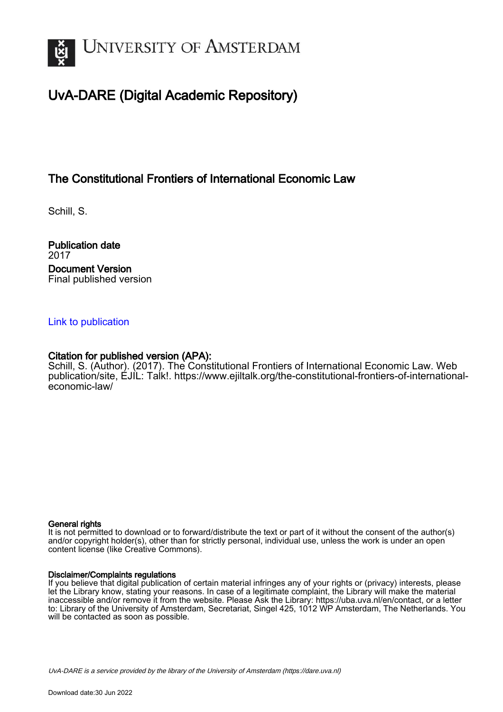

# UvA-DARE (Digital Academic Repository)

# The Constitutional Frontiers of International Economic Law

Schill, S.

Publication date 2017 Document Version Final published version

#### [Link to publication](https://dare.uva.nl/personal/pure/en/publications/the-constitutional-frontiers-of-international-economic-law(b70fa201-816b-4d2d-b75b-7db2a43ff418).html)

#### Citation for published version (APA):

Schill, S. (Author). (2017). The Constitutional Frontiers of International Economic Law. Web publication/site, EJIL: Talk!. [https://www.ejiltalk.org/the-constitutional-frontiers-of-international](https://www.ejiltalk.org/the-constitutional-frontiers-of-international-economic-law/)[economic-law/](https://www.ejiltalk.org/the-constitutional-frontiers-of-international-economic-law/)

#### General rights

It is not permitted to download or to forward/distribute the text or part of it without the consent of the author(s) and/or copyright holder(s), other than for strictly personal, individual use, unless the work is under an open content license (like Creative Commons).

#### Disclaimer/Complaints regulations

If you believe that digital publication of certain material infringes any of your rights or (privacy) interests, please let the Library know, stating your reasons. In case of a legitimate complaint, the Library will make the material inaccessible and/or remove it from the website. Please Ask the Library: https://uba.uva.nl/en/contact, or a letter to: Library of the University of Amsterdam, Secretariat, Singel 425, 1012 WP Amsterdam, The Netherlands. You will be contacted as soon as possible.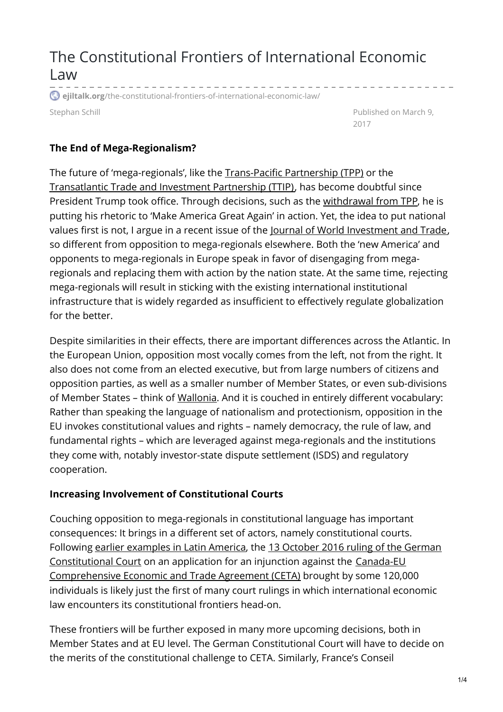# The Constitutional Frontiers of International Economic Law <u> 1950 - 1950 - 1950 - 1950 - 1950 - 1950 - 1950 - 1950 - 1950 - 1950 - 1950 - 1950 - 1950 - 1950 - 1950 - 1950 - 1950 - 1950 - 1950 - 1950 - 1950 - 1950 - 1950 - 1950 - 1950 - 1950 - 1950 - 1950 - 1950 - 1950 - 1950 - 195</u>

**ejiltalk.org**[/the-constitutional-frontiers-of-international-economic-law/](https://www.ejiltalk.org/the-constitutional-frontiers-of-international-economic-law/)

Stephan Schill **Published on March 9, and Schill Published on March 9,** 2017

#### **The End of Mega-Regionalism?**

The future of 'mega-regionals', like the [Trans-Pacific](https://ustr.gov/trade-agreements/free-trade-agreements/trans-pacific-partnership/tpp-full-text) Partnership (TPP) or the [Transatlantic](http://ec.europa.eu/trade/policy/in-focus/ttip/) Trade and Investment Partnership (TTIP), has become doubtful since President Trump took office. Through decisions, such as the [withdrawal](https://ustr.gov/trade-agreements/free-trade-agreements/trans-pacific-partnership/tpp-full-text) from TPP, he is putting his rhetoric to 'Make America Great Again' in action. Yet, the idea to put national values first is not, I argue in a recent issue of the Journal of World [Investment](http://booksandjournals.brillonline.com/content/journals/22119000/18/1) and Trade, so different from opposition to mega-regionals elsewhere. Both the 'new America' and opponents to mega-regionals in Europe speak in favor of disengaging from megaregionals and replacing them with action by the nation state. At the same time, rejecting mega-regionals will result in sticking with the existing international institutional infrastructure that is widely regarded as insufficient to effectively regulate globalization for the better.

Despite similarities in their effects, there are important differences across the Atlantic. In the European Union, opposition most vocally comes from the left, not from the right. It also does not come from an elected executive, but from large numbers of citizens and opposition parties, as well as a smaller number of Member States, or even sub-divisions of Member States – think of [Wallonia](http://www.economist.com/news/europe/21709060-tiny-region-belgium-opposes-trade-reasons-are-hard-understand-wallonia). And it is couched in entirely different vocabulary: Rather than speaking the language of nationalism and protectionism, opposition in the EU invokes constitutional values and rights – namely democracy, the rule of law, and fundamental rights – which are leveraged against mega-regionals and the institutions they come with, notably investor-state dispute settlement (ISDS) and regulatory cooperation.

#### **Increasing Involvement of Constitutional Courts**

Couching opposition to mega-regionals in constitutional language has important consequences: It brings in a different set of actors, namely constitutional courts. Following earlier [examples](http://booksandjournals.brillonline.com/content/journals/10.1163/18757413-00180021) in Latin America, the 13 October 2016 ruling of the German [Constitutional](https://www.bundesverfassungsgericht.de/SharedDocs/Pressemitteilungen/EN/2016/bvg16-071.html) Court on an application for an injunction against the Canada-EU [Comprehensive](http://ec.europa.eu/trade/policy/in-focus/ceta/) Economic and Trade Agreement (CETA) brought by some 120,000 individuals is likely just the first of many court rulings in which international economic law encounters its constitutional frontiers head-on.

These frontiers will be further exposed in many more upcoming decisions, both in Member States and at EU level. The German Constitutional Court will have to decide on the merits of the constitutional challenge to CETA. Similarly, France's Conseil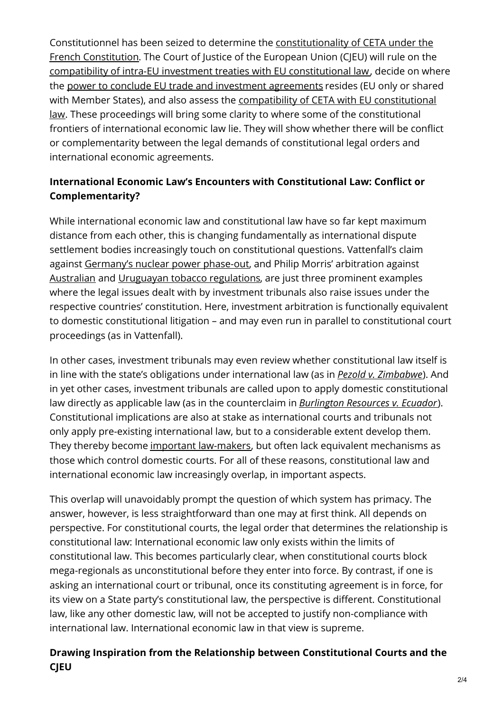Constitutionnel has been seized to determine the [constitutionality](http://www.conseil-constitutionnel.fr/conseil-constitutionnel/francais/actualites/2017/saisine-2017-749-dc-%5bceta%5d.148633.html) of CETA under the French Constitution. The Court of Justice of the European Union (CJEU) will rule on the compatibility of intra-EU investment treaties with EU [constitutional](http://kluwerarbitrationblog.com/2016/11/16/the-end-of-intra-eu-bits-fait-accompli-or-another-way-out/) law, decide on where the power to conclude EU trade and investment [agreements](http://eulawanalysis.blogspot.de/2016/09/opinion-215-on-scope-of-eu-external.html) resides (EU only or shared with Member States), and also assess the compatibility of CETA with EU [constitutional](http://europeanlawblog.eu/2016/10/31/investment-court-system-in-ceta-to-be-judged-by-the-ecj/) law. These proceedings will bring some clarity to where some of the constitutional frontiers of international economic law lie. They will show whether there will be conflict or complementarity between the legal demands of constitutional legal orders and international economic agreements.

# **International Economic Law's Encounters with Constitutional Law: Conflict or Complementarity?**

While international economic law and constitutional law have so far kept maximum distance from each other, this is changing fundamentally as international dispute settlement bodies increasingly touch on constitutional questions. Vattenfall's claim against [Germany's](http://www.italaw.com/cases/460) nuclear power phase-out, and Philip Morris' arbitration against [Australian](http://www.italaw.com/cases/851) and Uruguayan tobacco [regulations](http://www.italaw.com/cases/460), are just three prominent examples where the legal issues dealt with by investment tribunals also raise issues under the respective countries' constitution. Here, investment arbitration is functionally equivalent to domestic constitutional litigation – and may even run in parallel to constitutional court proceedings (as in Vattenfall).

In other cases, investment tribunals may even review whether constitutional law itself is in line with the state's obligations under international law (as in *Pezold v. [Zimbabwe](http://www.italaw.com/sites/default/files/case-documents/italaw7095_0.pdf)*). And in yet other cases, investment tribunals are called upon to apply domestic constitutional law directly as applicable law (as in the counterclaim in *[Burlington](http://www.italaw.com/sites/default/files/case-documents/italaw8206.pdf) Resources v. Ecuador*). Constitutional implications are also at stake as international courts and tribunals not only apply pre-existing international law, but to a considerable extent develop them. They thereby become important [law-makers](http://www.germanlawjournal.com/volume-12-no-05/), but often lack equivalent mechanisms as those which control domestic courts. For all of these reasons, constitutional law and international economic law increasingly overlap, in important aspects.

This overlap will unavoidably prompt the question of which system has primacy. The answer, however, is less straightforward than one may at first think. All depends on perspective. For constitutional courts, the legal order that determines the relationship is constitutional law: International economic law only exists within the limits of constitutional law. This becomes particularly clear, when constitutional courts block mega-regionals as unconstitutional before they enter into force. By contrast, if one is asking an international court or tribunal, once its constituting agreement is in force, for its view on a State party's constitutional law, the perspective is different. Constitutional law, like any other domestic law, will not be accepted to justify non-compliance with international law. International economic law in that view is supreme.

### **Drawing Inspiration from the Relationship between Constitutional Courts and the CJEU**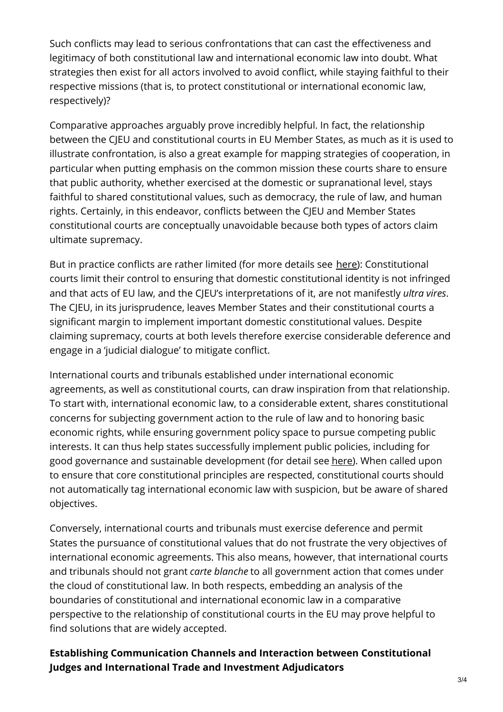Such conflicts may lead to serious confrontations that can cast the effectiveness and legitimacy of both constitutional law and international economic law into doubt. What strategies then exist for all actors involved to avoid conflict, while staying faithful to their respective missions (that is, to protect constitutional or international economic law, respectively)?

Comparative approaches arguably prove incredibly helpful. In fact, the relationship between the CJEU and constitutional courts in EU Member States, as much as it is used to illustrate confrontation, is also a great example for mapping strategies of cooperation, in particular when putting emphasis on the common mission these courts share to ensure that public authority, whether exercised at the domestic or supranational level, stays faithful to shared constitutional values, such as democracy, the rule of law, and human rights. Certainly, in this endeavor, conflicts between the CJEU and Member States constitutional courts are conceptually unavoidable because both types of actors claim ultimate supremacy.

But in practice conflicts are rather limited (for more details see [here](https://www.kluwerlawonline.com/abstract.php?area=Journals&id=COLA2011057)): Constitutional courts limit their control to ensuring that domestic constitutional identity is not infringed and that acts of EU law, and the CJEU's interpretations of it, are not manifestly *ultra vires*. The CJEU, in its jurisprudence, leaves Member States and their constitutional courts a significant margin to implement important domestic constitutional values. Despite claiming supremacy, courts at both levels therefore exercise considerable deference and engage in a 'judicial dialogue' to mitigate conflict.

International courts and tribunals established under international economic agreements, as well as constitutional courts, can draw inspiration from that relationship. To start with, international economic law, to a considerable extent, shares constitutional concerns for subjecting government action to the rule of law and to honoring basic economic rights, while ensuring government policy space to pursue competing public interests. It can thus help states successfully implement public policies, including for good governance and sustainable development (for detail see [here](https://ssrn.com/abstract=2799500)). When called upon to ensure that core constitutional principles are respected, constitutional courts should not automatically tag international economic law with suspicion, but be aware of shared objectives.

Conversely, international courts and tribunals must exercise deference and permit States the pursuance of constitutional values that do not frustrate the very objectives of international economic agreements. This also means, however, that international courts and tribunals should not grant *carte blanche* to all government action that comes under the cloud of constitutional law. In both respects, embedding an analysis of the boundaries of constitutional and international economic law in a comparative perspective to the relationship of constitutional courts in the EU may prove helpful to find solutions that are widely accepted.

### **Establishing Communication Channels and Interaction between Constitutional Judges and International Trade and Investment Adjudicators**